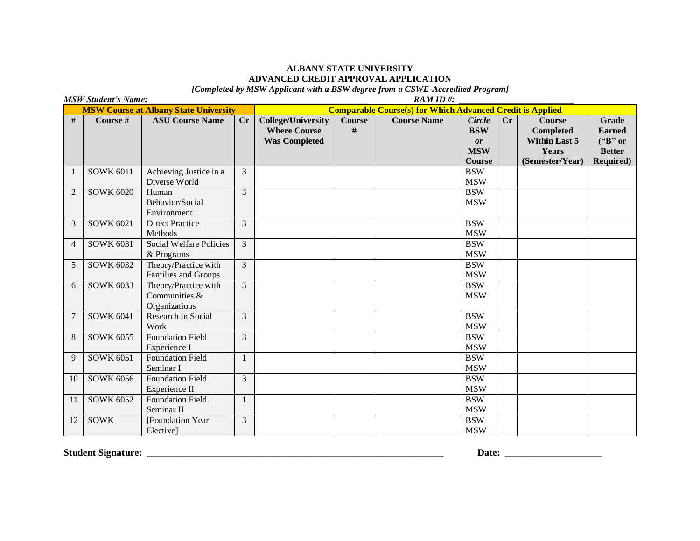## **ALBANY STATE UNIVERSITY ADVANCED CREDIT APPROVAL APPLICATION**

*[Completed by MSW Applicant with a BSW degree from a CSWE-Accredited Program]*

| <b>MSW Student's Name:</b>                   |                  |                                                        |                | RAM ID#:                                                                 |                    |                    |                                                                  |    |                                                                                       |                                                                        |  |
|----------------------------------------------|------------------|--------------------------------------------------------|----------------|--------------------------------------------------------------------------|--------------------|--------------------|------------------------------------------------------------------|----|---------------------------------------------------------------------------------------|------------------------------------------------------------------------|--|
| <b>MSW Course at Albany State University</b> |                  |                                                        |                | <b>Comparable Course(s) for Which Advanced Credit is Applied</b>         |                    |                    |                                                                  |    |                                                                                       |                                                                        |  |
| #                                            | Course #         | <b>ASU Course Name</b>                                 | Cr             | <b>College/University</b><br><b>Where Course</b><br><b>Was Completed</b> | <b>Course</b><br># | <b>Course Name</b> | <b>Circle</b><br><b>BSW</b><br><b>or</b><br><b>MSW</b><br>Course | Cr | <b>Course</b><br><b>Completed</b><br><b>Within Last 5</b><br>Years<br>(Semester/Year) | Grade<br><b>Earned</b><br>("B" or<br><b>Better</b><br><b>Required)</b> |  |
| $\mathbf{1}$                                 | <b>SOWK 6011</b> | Achieving Justice in a<br>Diverse World                | 3              |                                                                          |                    |                    | <b>BSW</b><br><b>MSW</b>                                         |    |                                                                                       |                                                                        |  |
| $\overline{2}$                               | <b>SOWK 6020</b> | Human<br>Behavior/Social<br>Environment                | 3              |                                                                          |                    |                    | <b>BSW</b><br><b>MSW</b>                                         |    |                                                                                       |                                                                        |  |
| 3                                            | <b>SOWK 6021</b> | <b>Direct Practice</b><br>Methods                      | 3              |                                                                          |                    |                    | <b>BSW</b><br><b>MSW</b>                                         |    |                                                                                       |                                                                        |  |
| $\overline{4}$                               | <b>SOWK 6031</b> | <b>Social Welfare Policies</b><br>& Programs           | 3              |                                                                          |                    |                    | <b>BSW</b><br><b>MSW</b>                                         |    |                                                                                       |                                                                        |  |
| 5                                            | <b>SOWK 6032</b> | Theory/Practice with<br><b>Families and Groups</b>     | 3              |                                                                          |                    |                    | <b>BSW</b><br><b>MSW</b>                                         |    |                                                                                       |                                                                        |  |
| 6                                            | <b>SOWK 6033</b> | Theory/Practice with<br>Communities &<br>Organizations | $\overline{3}$ |                                                                          |                    |                    | <b>BSW</b><br><b>MSW</b>                                         |    |                                                                                       |                                                                        |  |
| $\overline{7}$                               | <b>SOWK 6041</b> | Research in Social<br>Work                             | 3              |                                                                          |                    |                    | <b>BSW</b><br><b>MSW</b>                                         |    |                                                                                       |                                                                        |  |
| 8                                            | <b>SOWK 6055</b> | <b>Foundation Field</b><br>Experience I                | 3              |                                                                          |                    |                    | <b>BSW</b><br><b>MSW</b>                                         |    |                                                                                       |                                                                        |  |
| 9                                            | <b>SOWK 6051</b> | <b>Foundation Field</b><br>Seminar I                   | $\mathbf{1}$   |                                                                          |                    |                    | <b>BSW</b><br><b>MSW</b>                                         |    |                                                                                       |                                                                        |  |
| 10                                           | <b>SOWK 6056</b> | <b>Foundation Field</b><br>Experience II               | 3              |                                                                          |                    |                    | <b>BSW</b><br><b>MSW</b>                                         |    |                                                                                       |                                                                        |  |
| 11                                           | <b>SOWK 6052</b> | <b>Foundation Field</b><br>Seminar II                  | $\mathbf{1}$   |                                                                          |                    |                    | <b>BSW</b><br><b>MSW</b>                                         |    |                                                                                       |                                                                        |  |
| 12                                           | <b>SOWK</b>      | [Foundation Year<br>Electivel                          | 3              |                                                                          |                    |                    | <b>BSW</b><br><b>MSW</b>                                         |    |                                                                                       |                                                                        |  |

**Student Signature: \_\_\_\_\_\_\_\_\_\_\_\_\_\_\_\_\_\_\_\_\_\_\_\_\_\_\_\_\_\_\_\_\_\_\_\_\_\_\_\_\_\_\_\_\_\_\_\_\_\_\_\_\_\_\_\_\_\_\_\_\_ Date: \_\_\_\_\_\_\_\_\_\_\_\_\_\_\_\_\_\_\_\_**